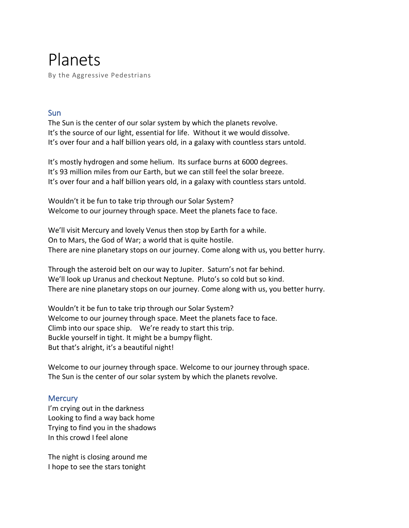Planets By the Aggressive Pedestrians

# **Sun**

The Sun is the center of our solar system by which the planets revolve. It's the source of our light, essential for life. Without it we would dissolve. It's over four and a half billion years old, in a galaxy with countless stars untold.

It's mostly hydrogen and some helium. Its surface burns at 6000 degrees. It's 93 million miles from our Earth, but we can still feel the solar breeze. It's over four and a half billion years old, in a galaxy with countless stars untold.

Wouldn't it be fun to take trip through our Solar System? Welcome to our journey through space. Meet the planets face to face.

We'll visit Mercury and lovely Venus then stop by Earth for a while. On to Mars, the God of War; a world that is quite hostile. There are nine planetary stops on our journey. Come along with us, you better hurry.

Through the asteroid belt on our way to Jupiter. Saturn's not far behind. We'll look up Uranus and checkout Neptune. Pluto's so cold but so kind. There are nine planetary stops on our journey. Come along with us, you better hurry.

Wouldn't it be fun to take trip through our Solar System? Welcome to our journey through space. Meet the planets face to face. Climb into our space ship. We're ready to start this trip. Buckle yourself in tight. It might be a bumpy flight. But that's alright, it's a beautiful night!

Welcome to our journey through space. Welcome to our journey through space. The Sun is the center of our solar system by which the planets revolve.

# **Mercury**

I'm crying out in the darkness Looking to find a way back home Trying to find you in the shadows In this crowd I feel alone

The night is closing around me I hope to see the stars tonight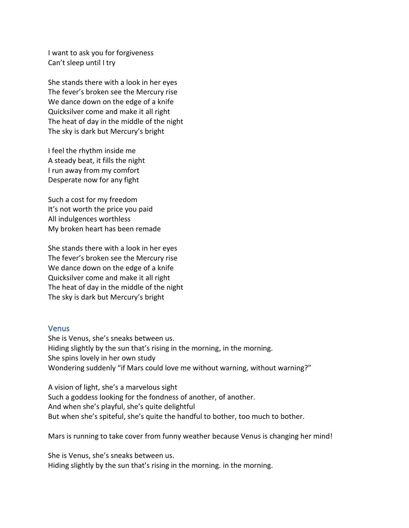I want to ask you for forgiveness Can't sleep until I try

She stands there with a look in her eyes The fever's broken see the Mercury rise We dance down on the edge of a knife Quicksilver come and make it all right The heat of day in the middle of the night The sky is dark but Mercury's bright

I feel the rhythm inside me A steady beat, it fills the night I run away from my comfort Desperate now for any fight

Such a cost for my freedom It's not worth the price you paid All indulgences worthless My broken heart has been remade

She stands there with a look in her eyes The fever's broken see the Mercury rise We dance down on the edge of a knife Quicksilver come and make it all right The heat of day in the middle of the night The sky is dark but Mercury's bright

#### **Venus**

She is Venus, she's sneaks between us. Hiding slightly by the sun that's rising in the morning, in the morning. She spins lovely in her own study Wondering suddenly "if Mars could love me without warning, without warning?"

A vision of light, she's a marvelous sight Such a goddess looking for the fondness of another, of another. And when she's playful, she's quite delightful But when she's spiteful, she's quite the handful to bother, too much to bother.

Mars is running to take cover from funny weather because Venus is changing her mind!

She is Venus, she's sneaks between us. Hiding slightly by the sun that's rising in the morning. in the morning.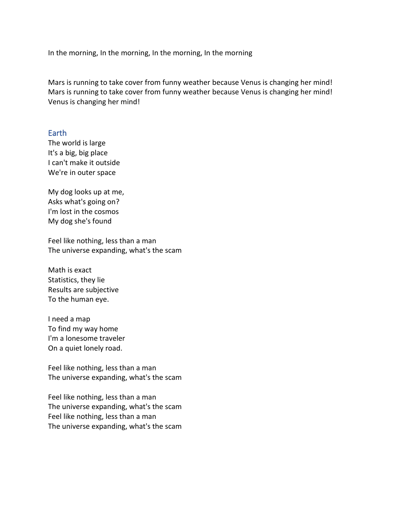In the morning, In the morning, In the morning, In the morning

Mars is running to take cover from funny weather because Venus is changing her mind! Mars is running to take cover from funny weather because Venus is changing her mind! Venus is changing her mind!

## Earth

The world is large It's a big, big place I can't make it outside We're in outer space

My dog looks up at me, Asks what's going on? I'm lost in the cosmos My dog she's found

Feel like nothing, less than a man The universe expanding, what's the scam

Math is exact Statistics, they lie Results are subjective To the human eye.

I need a map To find my way home I'm a lonesome traveler On a quiet lonely road.

Feel like nothing, less than a man The universe expanding, what's the scam

Feel like nothing, less than a man The universe expanding, what's the scam Feel like nothing, less than a man The universe expanding, what's the scam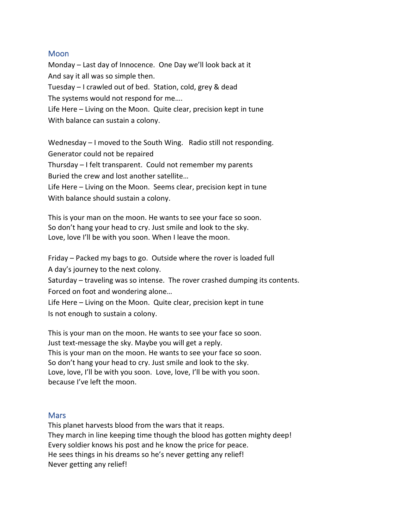## **Moon**

Monday – Last day of Innocence. One Day we'll look back at it And say it all was so simple then. Tuesday – I crawled out of bed. Station, cold, grey & dead The systems would not respond for me…. Life Here – Living on the Moon. Quite clear, precision kept in tune With balance can sustain a colony.

Wednesday – I moved to the South Wing. Radio still not responding. Generator could not be repaired Thursday – I felt transparent. Could not remember my parents Buried the crew and lost another satellite… Life Here – Living on the Moon. Seems clear, precision kept in tune With balance should sustain a colony.

This is your man on the moon. He wants to see your face so soon. So don't hang your head to cry. Just smile and look to the sky. Love, love I'll be with you soon. When I leave the moon.

Friday – Packed my bags to go. Outside where the rover is loaded full A day's journey to the next colony.

Saturday – traveling was so intense. The rover crashed dumping its contents. Forced on foot and wondering alone…

Life Here – Living on the Moon. Quite clear, precision kept in tune Is not enough to sustain a colony.

This is your man on the moon. He wants to see your face so soon. Just text-message the sky. Maybe you will get a reply. This is your man on the moon. He wants to see your face so soon. So don't hang your head to cry. Just smile and look to the sky. Love, love, I'll be with you soon. Love, love, I'll be with you soon. because I've left the moon.

#### **Mars**

This planet harvests blood from the wars that it reaps. They march in line keeping time though the blood has gotten mighty deep! Every soldier knows his post and he know the price for peace. He sees things in his dreams so he's never getting any relief! Never getting any relief!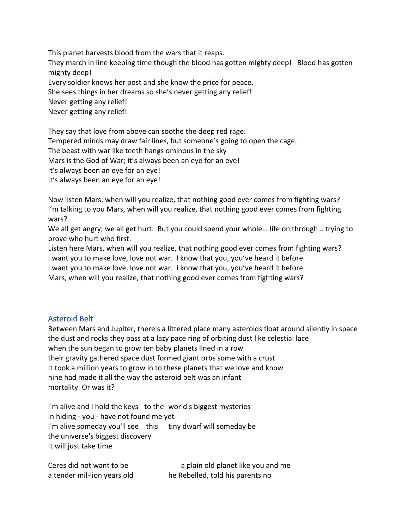This planet harvests blood from the wars that it reaps. They march in line keeping time though the blood has gotten mighty deep! Blood has gotten mighty deep! Every soldier knows her post and she know the price for peace. She sees things in her dreams so she's never getting any relief! Never getting any relief! Never getting any relief!

They say that love from above can soothe the deep red rage. Tempered minds may draw fair lines, but someone's going to open the cage. The beast with war like teeth hangs ominous in the sky Mars is the God of War; it's always been an eye for an eye! It's always been an eye for an eye! It's always been an eye for an eye!

Now listen Mars, when will you realize, that nothing good ever comes from fighting wars? I'm talking to you Mars, when will you realize, that nothing good ever comes from fighting wars?

We all get angry; we all get hurt. But you could spend your whole… life on through… trying to prove who hurt who first.

Listen here Mars, when will you realize, that nothing good ever comes from fighting wars? I want you to make love, love not war. I know that you, you've heard it before I want you to make love, love not war. I know that you, you've heard it before Mars, when will you realize, that nothing good ever comes from fighting wars?

## Asteroid Belt

Between Mars and Jupiter, there's a littered place many asteroids float around silently in space the dust and rocks they pass at a lazy pace ring of orbiting dust like celestial lace when the sun began to grow ten baby planets lined in a row their gravity gathered space dust formed giant orbs some with a crust It took a million years to grow in to these planets that we love and know nine had made it all the way the asteroid belt was an infant mortality. Or was it?

I'm alive and I hold the keys to the world's biggest mysteries in hiding - you - have not found me yet I'm alive someday you'll see this tiny dwarf will someday be the universe's biggest discovery It will just take time

Ceres did not want to be a plain old planet like you and me a tender mil-lion years old he Rebelled, told his parents no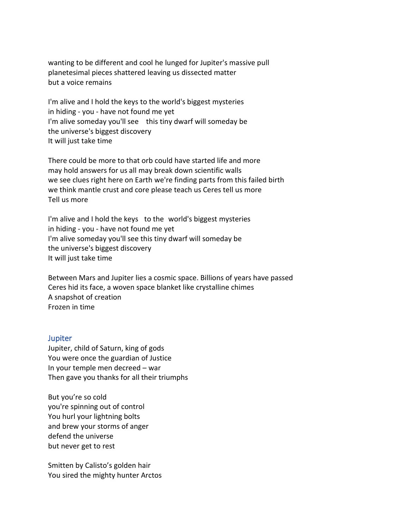wanting to be different and cool he lunged for Jupiter's massive pull planetesimal pieces shattered leaving us dissected matter but a voice remains

I'm alive and I hold the keys to the world's biggest mysteries in hiding - you - have not found me yet I'm alive someday you'll see this tiny dwarf will someday be the universe's biggest discovery It will just take time

There could be more to that orb could have started life and more may hold answers for us all may break down scientific walls we see clues right here on Earth we're finding parts from this failed birth we think mantle crust and core please teach us Ceres tell us more Tell us more

I'm alive and I hold the keys to the world's biggest mysteries in hiding - you - have not found me yet I'm alive someday you'll see this tiny dwarf will someday be the universe's biggest discovery It will just take time

Between Mars and Jupiter lies a cosmic space. Billions of years have passed Ceres hid its face, a woven space blanket like crystalline chimes A snapshot of creation Frozen in time

## **Jupiter**

Jupiter, child of Saturn, king of gods You were once the guardian of Justice In your temple men decreed – war Then gave you thanks for all their triumphs

But you're so cold you're spinning out of control You hurl your lightning bolts and brew your storms of anger defend the universe but never get to rest

Smitten by Calisto's golden hair You sired the mighty hunter Arctos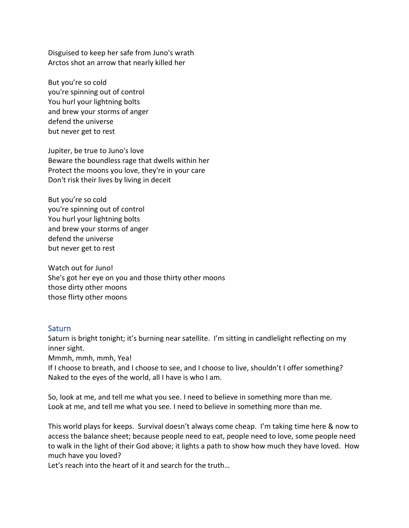Disguised to keep her safe from Juno's wrath Arctos shot an arrow that nearly killed her

But you're so cold you're spinning out of control You hurl your lightning bolts and brew your storms of anger defend the universe but never get to rest

Jupiter, be true to Juno's love Beware the boundless rage that dwells within her Protect the moons you love, they're in your care Don't risk their lives by living in deceit

But you're so cold you're spinning out of control You hurl your lightning bolts and brew your storms of anger defend the universe but never get to rest

Watch out for Juno! She's got her eye on you and those thirty other moons those dirty other moons those flirty other moons

#### **Saturn**

Saturn is bright tonight; it's burning near satellite. I'm sitting in candlelight reflecting on my inner sight.

Mmmh, mmh, mmh, Yea!

If I choose to breath, and I choose to see, and I choose to live, shouldn't I offer something? Naked to the eyes of the world, all I have is who I am.

So, look at me, and tell me what you see. I need to believe in something more than me. Look at me, and tell me what you see. I need to believe in something more than me.

This world plays for keeps. Survival doesn't always come cheap. I'm taking time here & now to access the balance sheet; because people need to eat, people need to love, some people need to walk in the light of their God above; it lights a path to show how much they have loved. How much have you loved?

Let's reach into the heart of it and search for the truth…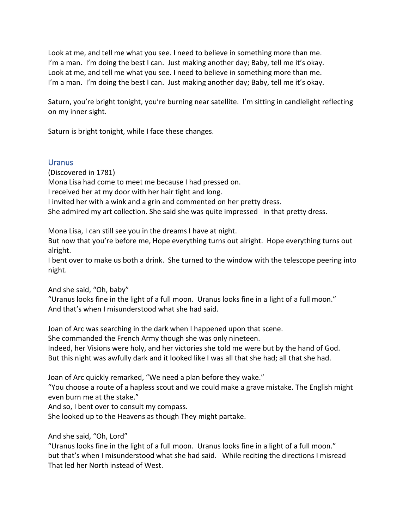Look at me, and tell me what you see. I need to believe in something more than me. I'm a man. I'm doing the best I can. Just making another day; Baby, tell me it's okay. Look at me, and tell me what you see. I need to believe in something more than me. I'm a man. I'm doing the best I can. Just making another day; Baby, tell me it's okay.

Saturn, you're bright tonight, you're burning near satellite. I'm sitting in candlelight reflecting on my inner sight.

Saturn is bright tonight, while I face these changes.

# Uranus

(Discovered in 1781) Mona Lisa had come to meet me because I had pressed on. I received her at my door with her hair tight and long. I invited her with a wink and a grin and commented on her pretty dress. She admired my art collection. She said she was quite impressed in that pretty dress.

Mona Lisa, I can still see you in the dreams I have at night.

But now that you're before me, Hope everything turns out alright. Hope everything turns out alright.

I bent over to make us both a drink. She turned to the window with the telescope peering into night.

And she said, "Oh, baby"

"Uranus looks fine in the light of a full moon. Uranus looks fine in a light of a full moon." And that's when I misunderstood what she had said.

Joan of Arc was searching in the dark when I happened upon that scene. She commanded the French Army though she was only nineteen. Indeed, her Visions were holy, and her victories she told me were but by the hand of God. But this night was awfully dark and it looked like I was all that she had; all that she had.

Joan of Arc quickly remarked, "We need a plan before they wake."

"You choose a route of a hapless scout and we could make a grave mistake. The English might even burn me at the stake."

And so, I bent over to consult my compass.

She looked up to the Heavens as though They might partake.

And she said, "Oh, Lord"

"Uranus looks fine in the light of a full moon. Uranus looks fine in a light of a full moon." but that's when I misunderstood what she had said. While reciting the directions I misread That led her North instead of West.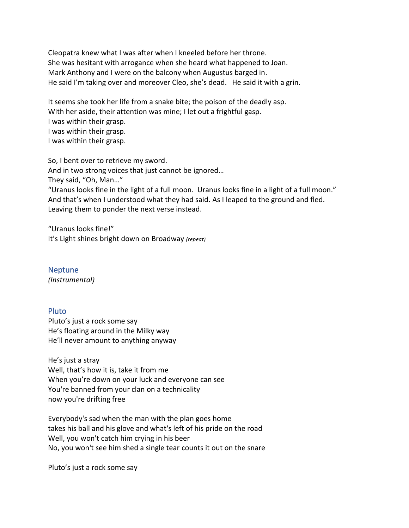Cleopatra knew what I was after when I kneeled before her throne. She was hesitant with arrogance when she heard what happened to Joan. Mark Anthony and I were on the balcony when Augustus barged in. He said I'm taking over and moreover Cleo, she's dead. He said it with a grin.

It seems she took her life from a snake bite; the poison of the deadly asp. With her aside, their attention was mine; I let out a frightful gasp. I was within their grasp. I was within their grasp. I was within their grasp.

So, I bent over to retrieve my sword. And in two strong voices that just cannot be ignored… They said, "Oh, Man…" "Uranus looks fine in the light of a full moon. Uranus looks fine in a light of a full moon." And that's when I understood what they had said. As I leaped to the ground and fled. Leaving them to ponder the next verse instead.

"Uranus looks fine!" It's Light shines bright down on Broadway *(repeat)*

Neptune *(Instrumental)*

## Pluto

Pluto's just a rock some say He's floating around in the Milky way He'll never amount to anything anyway

He's just a stray Well, that's how it is, take it from me When you're down on your luck and everyone can see You're banned from your clan on a technicality now you're drifting free

Everybody's sad when the man with the plan goes home takes his ball and his glove and what's left of his pride on the road Well, you won't catch him crying in his beer No, you won't see him shed a single tear counts it out on the snare

Pluto's just a rock some say